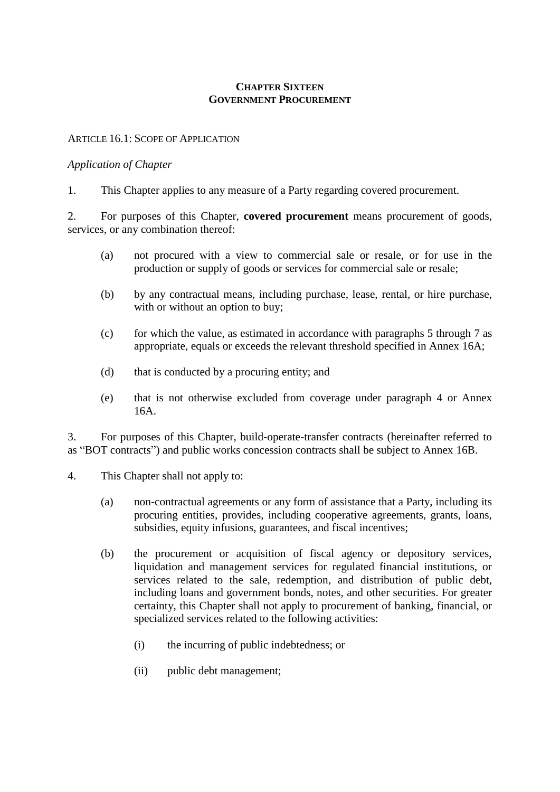### **CHAPTER SIXTEEN GOVERNMENT PROCUREMENT**

#### ARTICLE 16.1: SCOPE OF APPLICATION

### *Application of Chapter*

1. This Chapter applies to any measure of a Party regarding covered procurement.

2. For purposes of this Chapter, **covered procurement** means procurement of goods, services, or any combination thereof:

- (a) not procured with a view to commercial sale or resale, or for use in the production or supply of goods or services for commercial sale or resale;
- (b) by any contractual means, including purchase, lease, rental, or hire purchase, with or without an option to buy;
- (c) for which the value, as estimated in accordance with paragraphs 5 through 7 as appropriate, equals or exceeds the relevant threshold specified in Annex 16A;
- (d) that is conducted by a procuring entity; and
- (e) that is not otherwise excluded from coverage under paragraph 4 or Annex 16A.

3. For purposes of this Chapter, build-operate-transfer contracts (hereinafter referred to as "BOT contracts") and public works concession contracts shall be subject to Annex 16B.

- 4. This Chapter shall not apply to:
	- (a) non-contractual agreements or any form of assistance that a Party, including its procuring entities, provides, including cooperative agreements, grants, loans, subsidies, equity infusions, guarantees, and fiscal incentives;
	- (b) the procurement or acquisition of fiscal agency or depository services, liquidation and management services for regulated financial institutions, or services related to the sale, redemption, and distribution of public debt, including loans and government bonds, notes, and other securities. For greater certainty, this Chapter shall not apply to procurement of banking, financial, or specialized services related to the following activities:
		- (i) the incurring of public indebtedness; or
		- (ii) public debt management;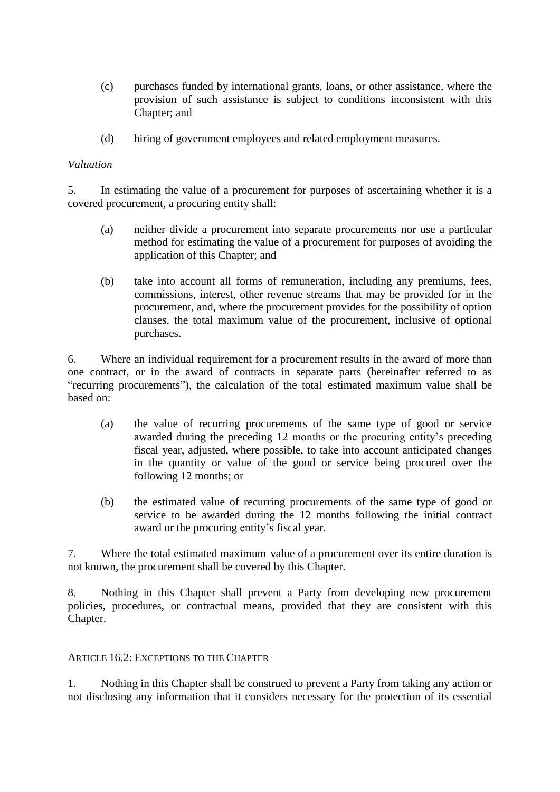- (c) purchases funded by international grants, loans, or other assistance, where the provision of such assistance is subject to conditions inconsistent with this Chapter; and
- (d) hiring of government employees and related employment measures.

### *Valuation*

5. In estimating the value of a procurement for purposes of ascertaining whether it is a covered procurement, a procuring entity shall:

- (a) neither divide a procurement into separate procurements nor use a particular method for estimating the value of a procurement for purposes of avoiding the application of this Chapter; and
- (b) take into account all forms of remuneration, including any premiums, fees, commissions, interest, other revenue streams that may be provided for in the procurement, and, where the procurement provides for the possibility of option clauses, the total maximum value of the procurement, inclusive of optional purchases.

6. Where an individual requirement for a procurement results in the award of more than one contract, or in the award of contracts in separate parts (hereinafter referred to as "recurring procurements"), the calculation of the total estimated maximum value shall be based on:

- (a) the value of recurring procurements of the same type of good or service awarded during the preceding 12 months or the procuring entity's preceding fiscal year, adjusted, where possible, to take into account anticipated changes in the quantity or value of the good or service being procured over the following 12 months; or
- (b) the estimated value of recurring procurements of the same type of good or service to be awarded during the 12 months following the initial contract award or the procuring entity's fiscal year.

7. Where the total estimated maximum value of a procurement over its entire duration is not known, the procurement shall be covered by this Chapter.

8. Nothing in this Chapter shall prevent a Party from developing new procurement policies, procedures, or contractual means, provided that they are consistent with this Chapter.

#### ARTICLE 16.2: EXCEPTIONS TO THE CHAPTER

1. Nothing in this Chapter shall be construed to prevent a Party from taking any action or not disclosing any information that it considers necessary for the protection of its essential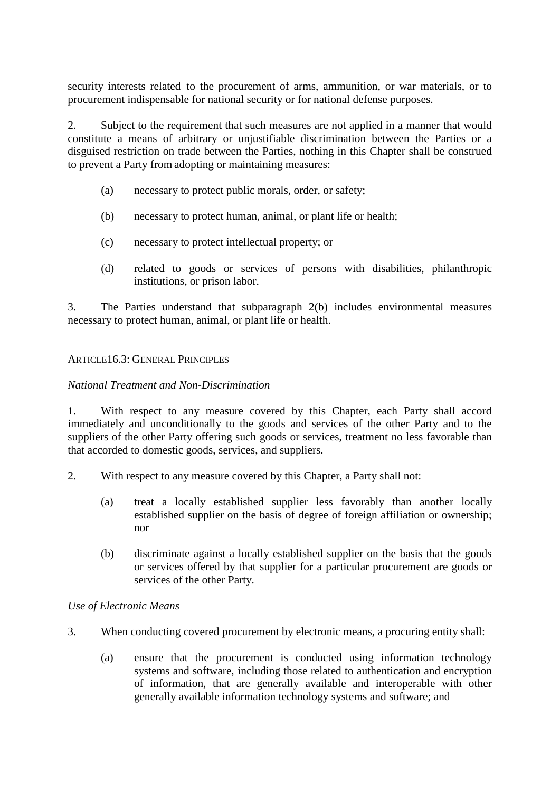security interests related to the procurement of arms, ammunition, or war materials, or to procurement indispensable for national security or for national defense purposes.

2. Subject to the requirement that such measures are not applied in a manner that would constitute a means of arbitrary or unjustifiable discrimination between the Parties or a disguised restriction on trade between the Parties, nothing in this Chapter shall be construed to prevent a Party from adopting or maintaining measures:

- (a) necessary to protect public morals, order, or safety;
- (b) necessary to protect human, animal, or plant life or health;
- (c) necessary to protect intellectual property; or
- (d) related to goods or services of persons with disabilities, philanthropic institutions, or prison labor.

3. The Parties understand that subparagraph 2(b) includes environmental measures necessary to protect human, animal, or plant life or health.

#### ARTICLE16.3: GENERAL PRINCIPLES

#### *National Treatment and Non-Discrimination*

1. With respect to any measure covered by this Chapter, each Party shall accord immediately and unconditionally to the goods and services of the other Party and to the suppliers of the other Party offering such goods or services, treatment no less favorable than that accorded to domestic goods, services, and suppliers.

- 2. With respect to any measure covered by this Chapter, a Party shall not:
	- (a) treat a locally established supplier less favorably than another locally established supplier on the basis of degree of foreign affiliation or ownership; nor
	- (b) discriminate against a locally established supplier on the basis that the goods or services offered by that supplier for a particular procurement are goods or services of the other Party.

#### *Use of Electronic Means*

- 3. When conducting covered procurement by electronic means, a procuring entity shall:
	- (a) ensure that the procurement is conducted using information technology systems and software, including those related to authentication and encryption of information, that are generally available and interoperable with other generally available information technology systems and software; and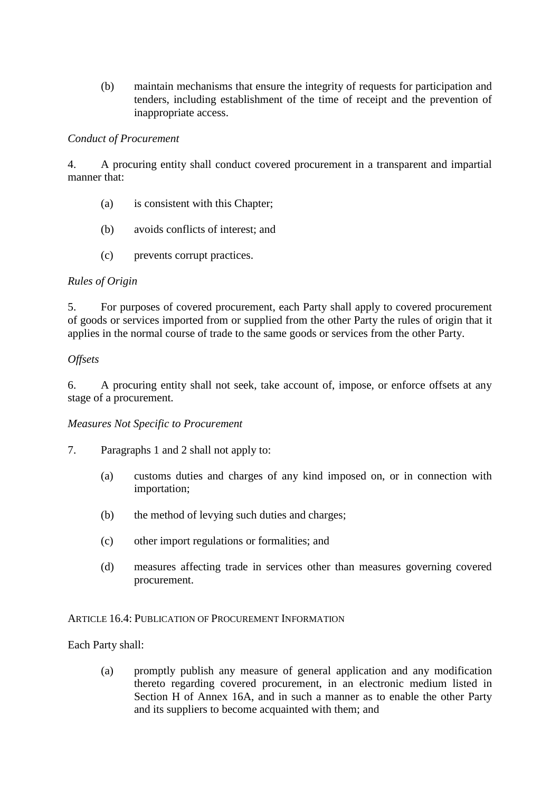(b) maintain mechanisms that ensure the integrity of requests for participation and tenders, including establishment of the time of receipt and the prevention of inappropriate access.

### *Conduct of Procurement*

4. A procuring entity shall conduct covered procurement in a transparent and impartial manner that:

- (a) is consistent with this Chapter;
- (b) avoids conflicts of interest; and
- (c) prevents corrupt practices.

### *Rules of Origin*

5. For purposes of covered procurement, each Party shall apply to covered procurement of goods or services imported from or supplied from the other Party the rules of origin that it applies in the normal course of trade to the same goods or services from the other Party.

#### *Offsets*

6. A procuring entity shall not seek, take account of, impose, or enforce offsets at any stage of a procurement.

#### *Measures Not Specific to Procurement*

- 7. Paragraphs 1 and 2 shall not apply to:
	- (a) customs duties and charges of any kind imposed on, or in connection with importation;
	- (b) the method of levying such duties and charges;
	- (c) other import regulations or formalities; and
	- (d) measures affecting trade in services other than measures governing covered procurement.

#### ARTICLE 16.4: PUBLICATION OF PROCUREMENT INFORMATION

#### Each Party shall:

(a) promptly publish any measure of general application and any modification thereto regarding covered procurement, in an electronic medium listed in Section H of Annex 16A, and in such a manner as to enable the other Party and its suppliers to become acquainted with them; and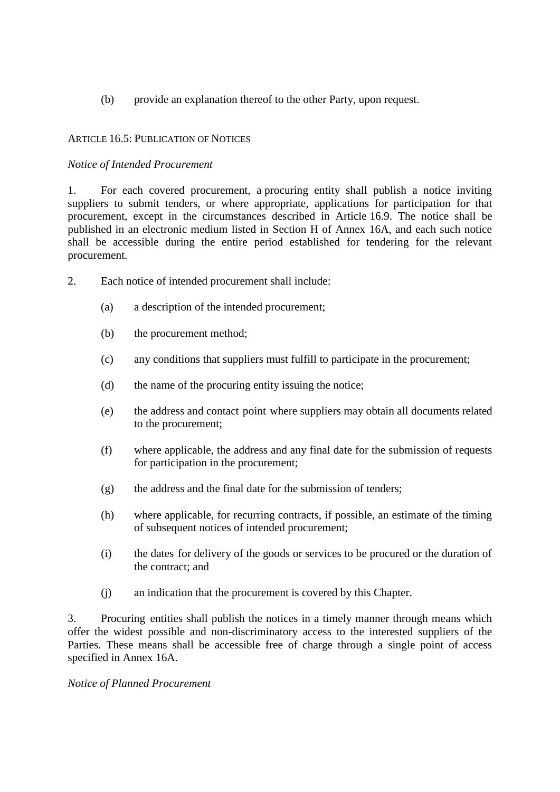(b) provide an explanation thereof to the other Party, upon request.

### ARTICLE 16.5: PUBLICATION OF NOTICES

### *Notice of Intended Procurement*

1. For each covered procurement, a procuring entity shall publish a notice inviting suppliers to submit tenders, or where appropriate, applications for participation for that procurement, except in the circumstances described in Article 16.9. The notice shall be published in an electronic medium listed in Section H of Annex 16A, and each such notice shall be accessible during the entire period established for tendering for the relevant procurement.

- 2. Each notice of intended procurement shall include:
	- (a) a description of the intended procurement;
	- (b) the procurement method;
	- (c) any conditions that suppliers must fulfill to participate in the procurement;
	- (d) the name of the procuring entity issuing the notice;
	- (e) the address and contact point where suppliers may obtain all documents related to the procurement;
	- (f) where applicable, the address and any final date for the submission of requests for participation in the procurement;
	- (g) the address and the final date for the submission of tenders;
	- (h) where applicable, for recurring contracts, if possible, an estimate of the timing of subsequent notices of intended procurement;
	- (i) the dates for delivery of the goods or services to be procured or the duration of the contract; and
	- (j) an indication that the procurement is covered by this Chapter.

3. Procuring entities shall publish the notices in a timely manner through means which offer the widest possible and non-discriminatory access to the interested suppliers of the Parties. These means shall be accessible free of charge through a single point of access specified in Annex 16A.

*Notice of Planned Procurement*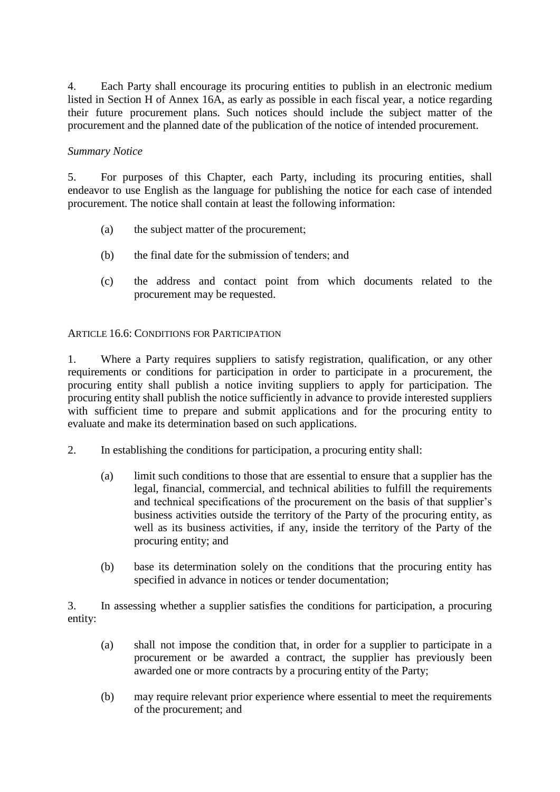4. Each Party shall encourage its procuring entities to publish in an electronic medium listed in Section H of Annex 16A, as early as possible in each fiscal year, a notice regarding their future procurement plans. Such notices should include the subject matter of the procurement and the planned date of the publication of the notice of intended procurement.

# *Summary Notice*

5. For purposes of this Chapter, each Party, including its procuring entities, shall endeavor to use English as the language for publishing the notice for each case of intended procurement. The notice shall contain at least the following information:

- (a) the subject matter of the procurement;
- (b) the final date for the submission of tenders; and
- (c) the address and contact point from which documents related to the procurement may be requested.

#### ARTICLE 16.6: CONDITIONS FOR PARTICIPATION

1. Where a Party requires suppliers to satisfy registration, qualification, or any other requirements or conditions for participation in order to participate in a procurement, the procuring entity shall publish a notice inviting suppliers to apply for participation. The procuring entity shall publish the notice sufficiently in advance to provide interested suppliers with sufficient time to prepare and submit applications and for the procuring entity to evaluate and make its determination based on such applications.

- 2. In establishing the conditions for participation, a procuring entity shall:
	- (a) limit such conditions to those that are essential to ensure that a supplier has the legal, financial, commercial, and technical abilities to fulfill the requirements and technical specifications of the procurement on the basis of that supplier's business activities outside the territory of the Party of the procuring entity, as well as its business activities, if any, inside the territory of the Party of the procuring entity; and
	- (b) base its determination solely on the conditions that the procuring entity has specified in advance in notices or tender documentation;

3. In assessing whether a supplier satisfies the conditions for participation, a procuring entity:

- (a) shall not impose the condition that, in order for a supplier to participate in a procurement or be awarded a contract, the supplier has previously been awarded one or more contracts by a procuring entity of the Party;
- (b) may require relevant prior experience where essential to meet the requirements of the procurement; and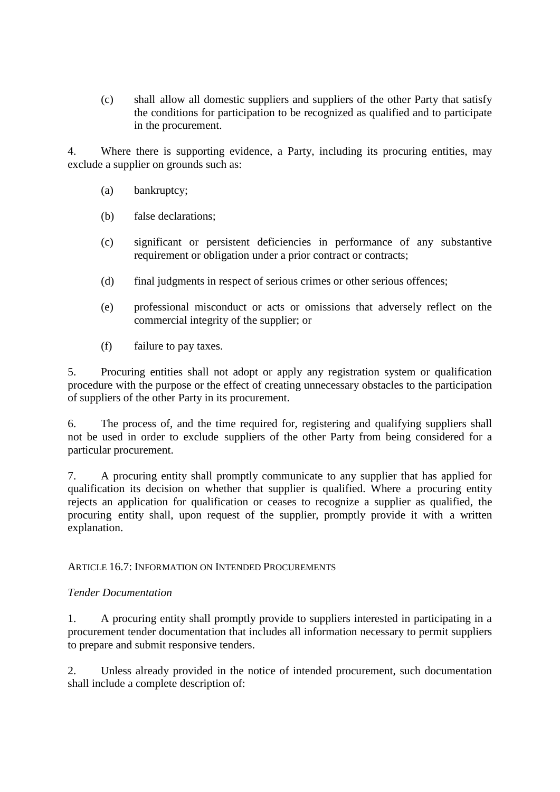(c) shall allow all domestic suppliers and suppliers of the other Party that satisfy the conditions for participation to be recognized as qualified and to participate in the procurement.

4. Where there is supporting evidence, a Party, including its procuring entities, may exclude a supplier on grounds such as:

- (a) bankruptcy;
- (b) false declarations;
- (c) significant or persistent deficiencies in performance of any substantive requirement or obligation under a prior contract or contracts;
- (d) final judgments in respect of serious crimes or other serious offences;
- (e) professional misconduct or acts or omissions that adversely reflect on the commercial integrity of the supplier; or
- (f) failure to pay taxes.

5. Procuring entities shall not adopt or apply any registration system or qualification procedure with the purpose or the effect of creating unnecessary obstacles to the participation of suppliers of the other Party in its procurement.

6. The process of, and the time required for, registering and qualifying suppliers shall not be used in order to exclude suppliers of the other Party from being considered for a particular procurement.

7. A procuring entity shall promptly communicate to any supplier that has applied for qualification its decision on whether that supplier is qualified. Where a procuring entity rejects an application for qualification or ceases to recognize a supplier as qualified, the procuring entity shall, upon request of the supplier, promptly provide it with a written explanation.

#### ARTICLE 16.7: INFORMATION ON INTENDED PROCUREMENTS

#### *Tender Documentation*

1. A procuring entity shall promptly provide to suppliers interested in participating in a procurement tender documentation that includes all information necessary to permit suppliers to prepare and submit responsive tenders.

2. Unless already provided in the notice of intended procurement, such documentation shall include a complete description of: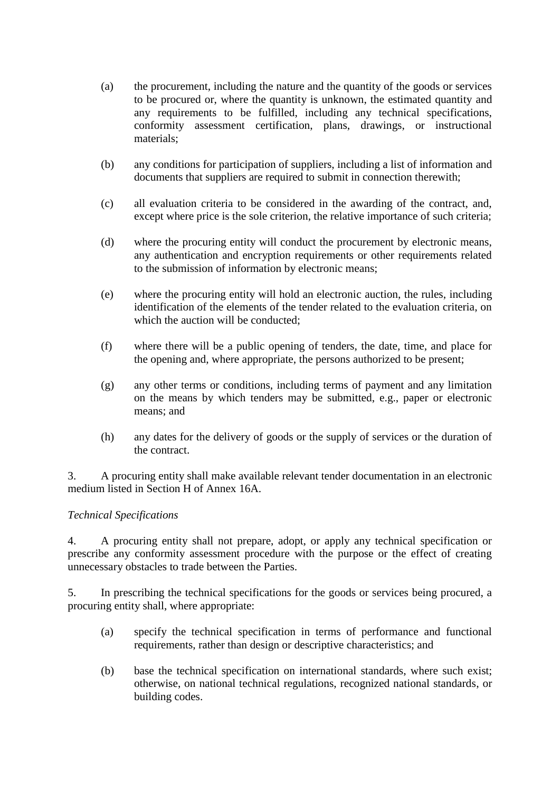- (a) the procurement, including the nature and the quantity of the goods or services to be procured or, where the quantity is unknown, the estimated quantity and any requirements to be fulfilled, including any technical specifications, conformity assessment certification, plans, drawings, or instructional materials;
- (b) any conditions for participation of suppliers, including a list of information and documents that suppliers are required to submit in connection therewith;
- (c) all evaluation criteria to be considered in the awarding of the contract, and, except where price is the sole criterion, the relative importance of such criteria;
- (d) where the procuring entity will conduct the procurement by electronic means, any authentication and encryption requirements or other requirements related to the submission of information by electronic means;
- (e) where the procuring entity will hold an electronic auction, the rules, including identification of the elements of the tender related to the evaluation criteria, on which the auction will be conducted;
- (f) where there will be a public opening of tenders, the date, time, and place for the opening and, where appropriate, the persons authorized to be present;
- (g) any other terms or conditions, including terms of payment and any limitation on the means by which tenders may be submitted, e.g., paper or electronic means; and
- (h) any dates for the delivery of goods or the supply of services or the duration of the contract.

3. A procuring entity shall make available relevant tender documentation in an electronic medium listed in Section H of Annex 16A.

## *Technical Specifications*

4. A procuring entity shall not prepare, adopt, or apply any technical specification or prescribe any conformity assessment procedure with the purpose or the effect of creating unnecessary obstacles to trade between the Parties.

5. In prescribing the technical specifications for the goods or services being procured, a procuring entity shall, where appropriate:

- (a) specify the technical specification in terms of performance and functional requirements, rather than design or descriptive characteristics; and
- (b) base the technical specification on international standards, where such exist; otherwise, on national technical regulations, recognized national standards, or building codes.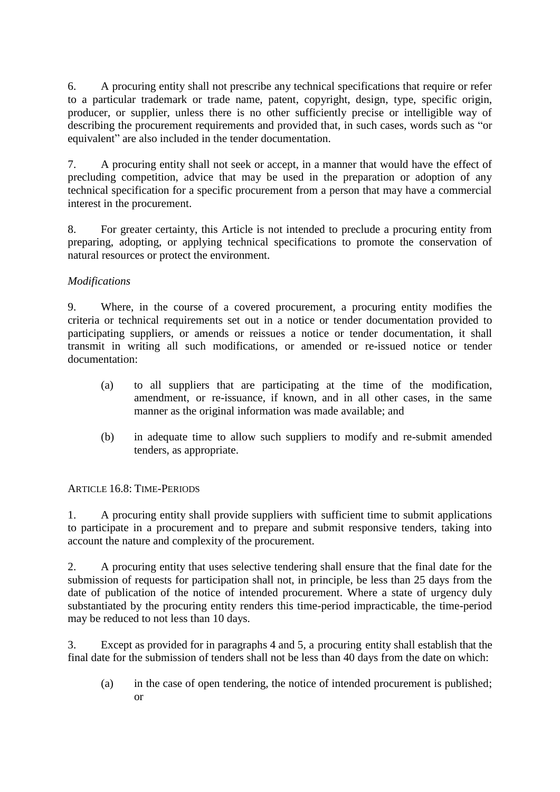6. A procuring entity shall not prescribe any technical specifications that require or refer to a particular trademark or trade name, patent, copyright, design, type, specific origin, producer, or supplier, unless there is no other sufficiently precise or intelligible way of describing the procurement requirements and provided that, in such cases, words such as "or equivalent" are also included in the tender documentation.

7. A procuring entity shall not seek or accept, in a manner that would have the effect of precluding competition, advice that may be used in the preparation or adoption of any technical specification for a specific procurement from a person that may have a commercial interest in the procurement.

8. For greater certainty, this Article is not intended to preclude a procuring entity from preparing, adopting, or applying technical specifications to promote the conservation of natural resources or protect the environment.

## *Modifications*

9. Where, in the course of a covered procurement, a procuring entity modifies the criteria or technical requirements set out in a notice or tender documentation provided to participating suppliers, or amends or reissues a notice or tender documentation, it shall transmit in writing all such modifications, or amended or re-issued notice or tender documentation:

- (a) to all suppliers that are participating at the time of the modification, amendment, or re-issuance, if known, and in all other cases, in the same manner as the original information was made available; and
- (b) in adequate time to allow such suppliers to modify and re-submit amended tenders, as appropriate.

## ARTICLE 16.8: TIME-PERIODS

1. A procuring entity shall provide suppliers with sufficient time to submit applications to participate in a procurement and to prepare and submit responsive tenders, taking into account the nature and complexity of the procurement.

2. A procuring entity that uses selective tendering shall ensure that the final date for the submission of requests for participation shall not, in principle, be less than 25 days from the date of publication of the notice of intended procurement. Where a state of urgency duly substantiated by the procuring entity renders this time-period impracticable, the time-period may be reduced to not less than 10 days.

3. Except as provided for in paragraphs 4 and 5, a procuring entity shall establish that the final date for the submission of tenders shall not be less than 40 days from the date on which:

(a) in the case of open tendering, the notice of intended procurement is published; or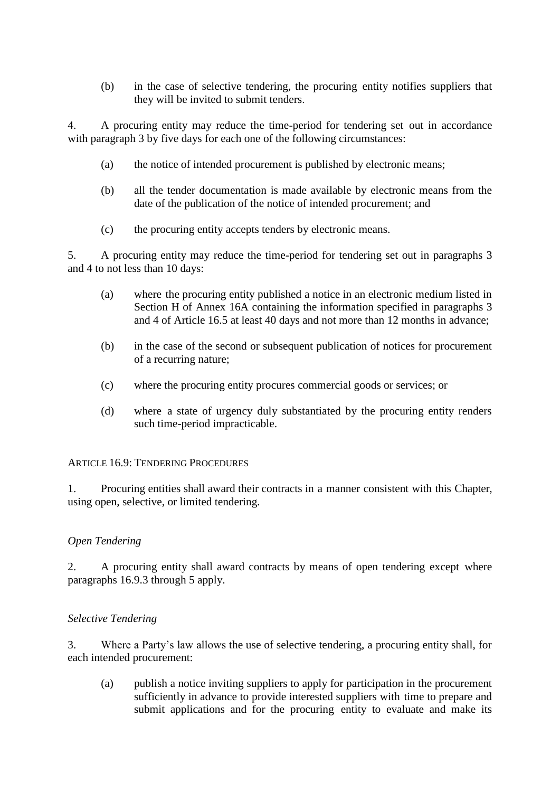(b) in the case of selective tendering, the procuring entity notifies suppliers that they will be invited to submit tenders.

4. A procuring entity may reduce the time-period for tendering set out in accordance with paragraph 3 by five days for each one of the following circumstances:

- (a) the notice of intended procurement is published by electronic means;
- (b) all the tender documentation is made available by electronic means from the date of the publication of the notice of intended procurement; and
- (c) the procuring entity accepts tenders by electronic means.

5. A procuring entity may reduce the time-period for tendering set out in paragraphs 3 and 4 to not less than 10 days:

- (a) where the procuring entity published a notice in an electronic medium listed in Section H of Annex 16A containing the information specified in paragraphs 3 and 4 of Article 16.5 at least 40 days and not more than 12 months in advance;
- (b) in the case of the second or subsequent publication of notices for procurement of a recurring nature;
- (c) where the procuring entity procures commercial goods or services; or
- (d) where a state of urgency duly substantiated by the procuring entity renders such time-period impracticable.

#### ARTICLE 16.9: TENDERING PROCEDURES

1. Procuring entities shall award their contracts in a manner consistent with this Chapter, using open, selective, or limited tendering.

## *Open Tendering*

2. A procuring entity shall award contracts by means of open tendering except where paragraphs 16.9.3 through 5 apply.

## *Selective Tendering*

3. Where a Party's law allows the use of selective tendering, a procuring entity shall, for each intended procurement:

(a) publish a notice inviting suppliers to apply for participation in the procurement sufficiently in advance to provide interested suppliers with time to prepare and submit applications and for the procuring entity to evaluate and make its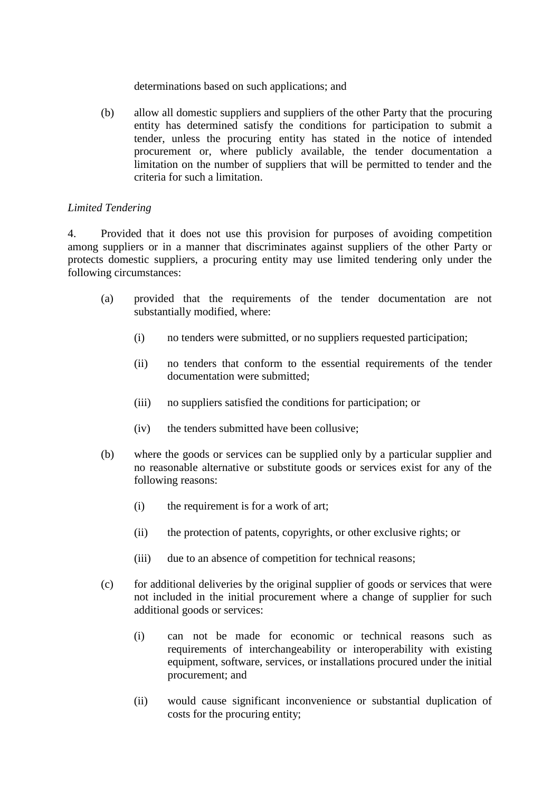### determinations based on such applications; and

(b) allow all domestic suppliers and suppliers of the other Party that the procuring entity has determined satisfy the conditions for participation to submit a tender, unless the procuring entity has stated in the notice of intended procurement or, where publicly available, the tender documentation a limitation on the number of suppliers that will be permitted to tender and the criteria for such a limitation.

### *Limited Tendering*

4. Provided that it does not use this provision for purposes of avoiding competition among suppliers or in a manner that discriminates against suppliers of the other Party or protects domestic suppliers, a procuring entity may use limited tendering only under the following circumstances:

- (a) provided that the requirements of the tender documentation are not substantially modified, where:
	- (i) no tenders were submitted, or no suppliers requested participation;
	- (ii) no tenders that conform to the essential requirements of the tender documentation were submitted;
	- (iii) no suppliers satisfied the conditions for participation; or
	- (iv) the tenders submitted have been collusive;
- (b) where the goods or services can be supplied only by a particular supplier and no reasonable alternative or substitute goods or services exist for any of the following reasons:
	- (i) the requirement is for a work of art;
	- (ii) the protection of patents, copyrights, or other exclusive rights; or
	- (iii) due to an absence of competition for technical reasons;
- (c) for additional deliveries by the original supplier of goods or services that were not included in the initial procurement where a change of supplier for such additional goods or services:
	- (i) can not be made for economic or technical reasons such as requirements of interchangeability or interoperability with existing equipment, software, services, or installations procured under the initial procurement; and
	- (ii) would cause significant inconvenience or substantial duplication of costs for the procuring entity;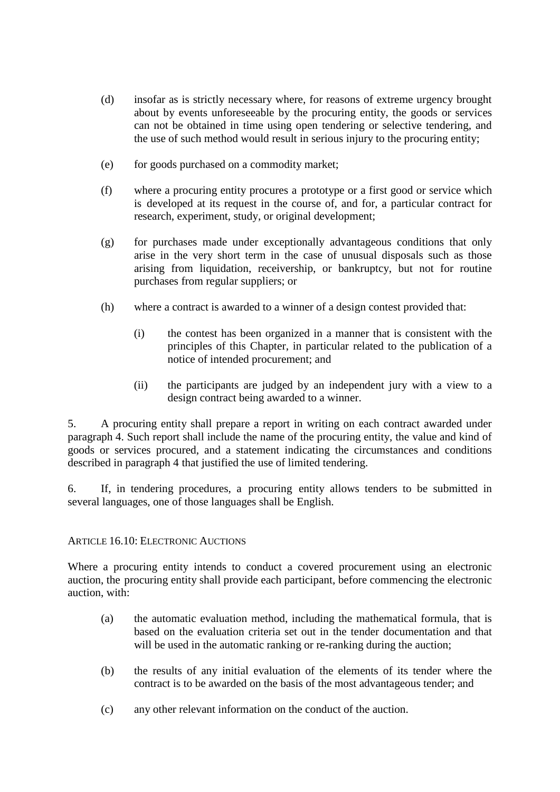- (d) insofar as is strictly necessary where, for reasons of extreme urgency brought about by events unforeseeable by the procuring entity, the goods or services can not be obtained in time using open tendering or selective tendering, and the use of such method would result in serious injury to the procuring entity;
- (e) for goods purchased on a commodity market;
- (f) where a procuring entity procures a prototype or a first good or service which is developed at its request in the course of, and for, a particular contract for research, experiment, study, or original development;
- (g) for purchases made under exceptionally advantageous conditions that only arise in the very short term in the case of unusual disposals such as those arising from liquidation, receivership, or bankruptcy, but not for routine purchases from regular suppliers; or
- (h) where a contract is awarded to a winner of a design contest provided that:
	- (i) the contest has been organized in a manner that is consistent with the principles of this Chapter, in particular related to the publication of a notice of intended procurement; and
	- (ii) the participants are judged by an independent jury with a view to a design contract being awarded to a winner.

5. A procuring entity shall prepare a report in writing on each contract awarded under paragraph 4. Such report shall include the name of the procuring entity, the value and kind of goods or services procured, and a statement indicating the circumstances and conditions described in paragraph 4 that justified the use of limited tendering.

6. If, in tendering procedures, a procuring entity allows tenders to be submitted in several languages, one of those languages shall be English.

#### ARTICLE 16.10: ELECTRONIC AUCTIONS

Where a procuring entity intends to conduct a covered procurement using an electronic auction, the procuring entity shall provide each participant, before commencing the electronic auction, with:

- (a) the automatic evaluation method, including the mathematical formula, that is based on the evaluation criteria set out in the tender documentation and that will be used in the automatic ranking or re-ranking during the auction:
- (b) the results of any initial evaluation of the elements of its tender where the contract is to be awarded on the basis of the most advantageous tender; and
- (c) any other relevant information on the conduct of the auction.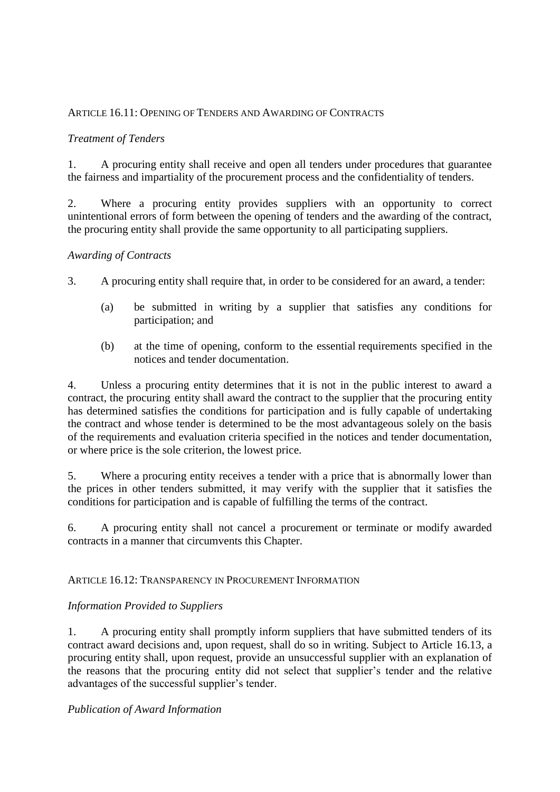## ARTICLE 16.11: OPENING OF TENDERS AND AWARDING OF CONTRACTS

### *Treatment of Tenders*

1. A procuring entity shall receive and open all tenders under procedures that guarantee the fairness and impartiality of the procurement process and the confidentiality of tenders.

2. Where a procuring entity provides suppliers with an opportunity to correct unintentional errors of form between the opening of tenders and the awarding of the contract, the procuring entity shall provide the same opportunity to all participating suppliers.

#### *Awarding of Contracts*

3. A procuring entity shall require that, in order to be considered for an award, a tender:

- (a) be submitted in writing by a supplier that satisfies any conditions for participation; and
- (b) at the time of opening, conform to the essential requirements specified in the notices and tender documentation.

4. Unless a procuring entity determines that it is not in the public interest to award a contract, the procuring entity shall award the contract to the supplier that the procuring entity has determined satisfies the conditions for participation and is fully capable of undertaking the contract and whose tender is determined to be the most advantageous solely on the basis of the requirements and evaluation criteria specified in the notices and tender documentation, or where price is the sole criterion, the lowest price.

5. Where a procuring entity receives a tender with a price that is abnormally lower than the prices in other tenders submitted, it may verify with the supplier that it satisfies the conditions for participation and is capable of fulfilling the terms of the contract.

6. A procuring entity shall not cancel a procurement or terminate or modify awarded contracts in a manner that circumvents this Chapter.

ARTICLE 16.12: TRANSPARENCY IN PROCUREMENT INFORMATION

## *Information Provided to Suppliers*

1. A procuring entity shall promptly inform suppliers that have submitted tenders of its contract award decisions and, upon request, shall do so in writing. Subject to Article 16.13, a procuring entity shall, upon request, provide an unsuccessful supplier with an explanation of the reasons that the procuring entity did not select that supplier's tender and the relative advantages of the successful supplier's tender.

#### *Publication of Award Information*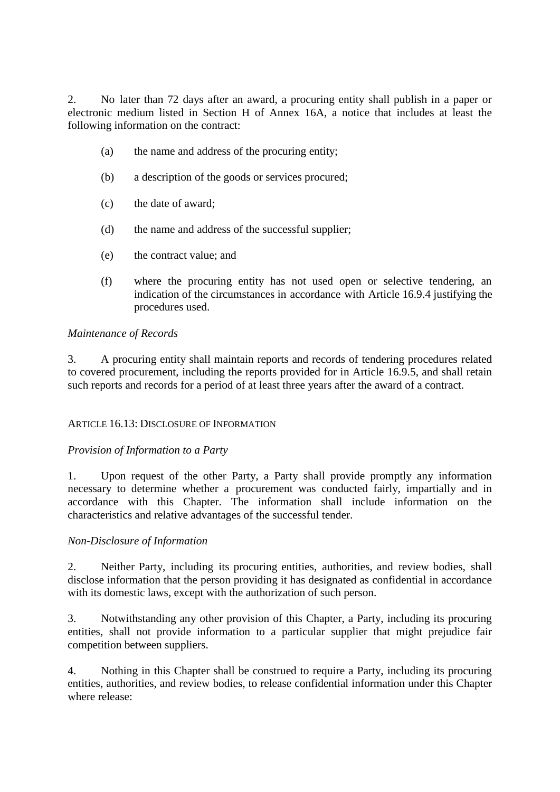2. No later than 72 days after an award, a procuring entity shall publish in a paper or electronic medium listed in Section H of Annex 16A, a notice that includes at least the following information on the contract:

- (a) the name and address of the procuring entity;
- (b) a description of the goods or services procured;
- (c) the date of award;
- (d) the name and address of the successful supplier;
- (e) the contract value; and
- (f) where the procuring entity has not used open or selective tendering, an indication of the circumstances in accordance with Article 16.9.4 justifying the procedures used.

## *Maintenance of Records*

3. A procuring entity shall maintain reports and records of tendering procedures related to covered procurement, including the reports provided for in Article 16.9.5, and shall retain such reports and records for a period of at least three years after the award of a contract.

## ARTICLE 16.13: DISCLOSURE OF INFORMATION

## *Provision of Information to a Party*

1. Upon request of the other Party, a Party shall provide promptly any information necessary to determine whether a procurement was conducted fairly, impartially and in accordance with this Chapter. The information shall include information on the characteristics and relative advantages of the successful tender.

## *Non-Disclosure of Information*

2. Neither Party, including its procuring entities, authorities, and review bodies, shall disclose information that the person providing it has designated as confidential in accordance with its domestic laws, except with the authorization of such person.

3. Notwithstanding any other provision of this Chapter, a Party, including its procuring entities, shall not provide information to a particular supplier that might prejudice fair competition between suppliers.

4. Nothing in this Chapter shall be construed to require a Party, including its procuring entities, authorities, and review bodies, to release confidential information under this Chapter where release: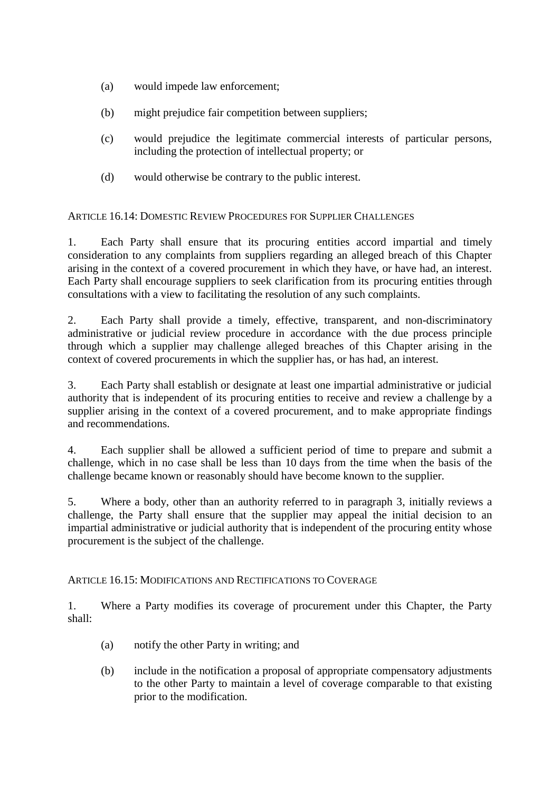- (a) would impede law enforcement;
- (b) might prejudice fair competition between suppliers;
- (c) would prejudice the legitimate commercial interests of particular persons, including the protection of intellectual property; or
- (d) would otherwise be contrary to the public interest.

ARTICLE 16.14: DOMESTIC REVIEW PROCEDURES FOR SUPPLIER CHALLENGES

1. Each Party shall ensure that its procuring entities accord impartial and timely consideration to any complaints from suppliers regarding an alleged breach of this Chapter arising in the context of a covered procurement in which they have, or have had, an interest. Each Party shall encourage suppliers to seek clarification from its procuring entities through consultations with a view to facilitating the resolution of any such complaints.

2. Each Party shall provide a timely, effective, transparent, and non-discriminatory administrative or judicial review procedure in accordance with the due process principle through which a supplier may challenge alleged breaches of this Chapter arising in the context of covered procurements in which the supplier has, or has had, an interest.

3. Each Party shall establish or designate at least one impartial administrative or judicial authority that is independent of its procuring entities to receive and review a challenge by a supplier arising in the context of a covered procurement, and to make appropriate findings and recommendations.

4. Each supplier shall be allowed a sufficient period of time to prepare and submit a challenge, which in no case shall be less than 10 days from the time when the basis of the challenge became known or reasonably should have become known to the supplier.

5. Where a body, other than an authority referred to in paragraph 3, initially reviews a challenge, the Party shall ensure that the supplier may appeal the initial decision to an impartial administrative or judicial authority that is independent of the procuring entity whose procurement is the subject of the challenge.

ARTICLE 16.15: MODIFICATIONS AND RECTIFICATIONS TO COVERAGE

1. Where a Party modifies its coverage of procurement under this Chapter, the Party shall:

- (a) notify the other Party in writing; and
- (b) include in the notification a proposal of appropriate compensatory adjustments to the other Party to maintain a level of coverage comparable to that existing prior to the modification.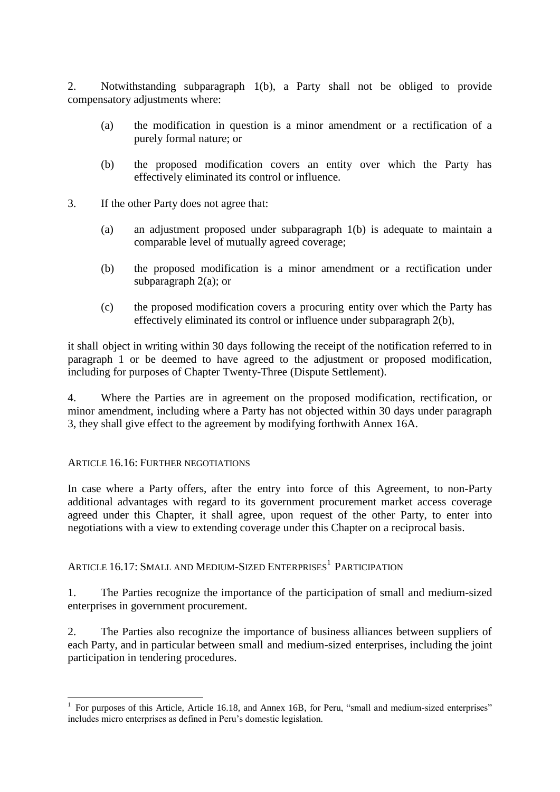2. Notwithstanding subparagraph 1(b), a Party shall not be obliged to provide compensatory adjustments where:

- (a) the modification in question is a minor amendment or a rectification of a purely formal nature; or
- (b) the proposed modification covers an entity over which the Party has effectively eliminated its control or influence.
- 3. If the other Party does not agree that:
	- (a) an adjustment proposed under subparagraph 1(b) is adequate to maintain a comparable level of mutually agreed coverage;
	- (b) the proposed modification is a minor amendment or a rectification under subparagraph 2(a); or
	- (c) the proposed modification covers a procuring entity over which the Party has effectively eliminated its control or influence under subparagraph 2(b),

it shall object in writing within 30 days following the receipt of the notification referred to in paragraph 1 or be deemed to have agreed to the adjustment or proposed modification, including for purposes of Chapter Twenty-Three (Dispute Settlement).

4. Where the Parties are in agreement on the proposed modification, rectification, or minor amendment, including where a Party has not objected within 30 days under paragraph 3, they shall give effect to the agreement by modifying forthwith Annex 16A.

#### ARTICLE 16.16: FURTHER NEGOTIATIONS

In case where a Party offers, after the entry into force of this Agreement, to non-Party additional advantages with regard to its government procurement market access coverage agreed under this Chapter, it shall agree, upon request of the other Party, to enter into negotiations with a view to extending coverage under this Chapter on a reciprocal basis.

# ARTICLE 16.17: SMALL AND MEDIUM-SIZED  ${\rm Enter}{\rm PRISES}^1$  <code>Participation</code>

1. The Parties recognize the importance of the participation of small and medium-sized enterprises in government procurement.

2. The Parties also recognize the importance of business alliances between suppliers of each Party, and in particular between small and medium-sized enterprises, including the joint participation in tendering procedures.

<sup>1</sup> <sup>1</sup> For purposes of this Article, Article 16.18, and Annex 16B, for Peru, "small and medium-sized enterprises" includes micro enterprises as defined in Peru's domestic legislation.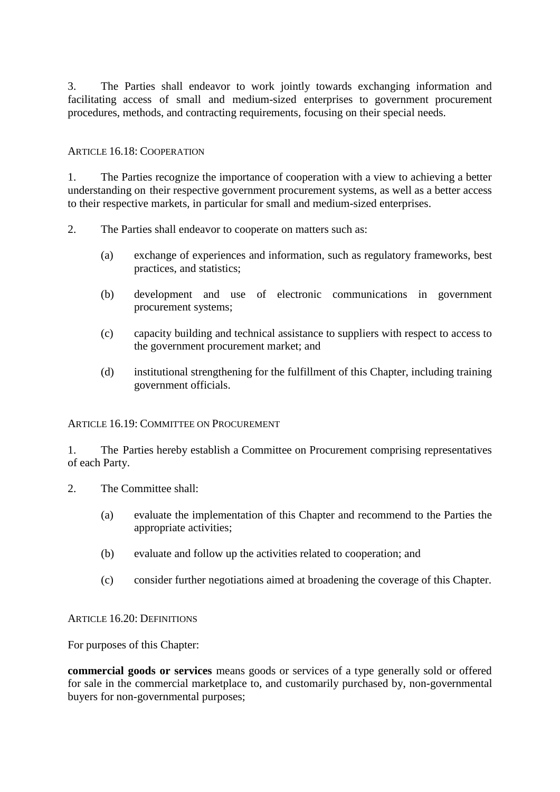3. The Parties shall endeavor to work jointly towards exchanging information and facilitating access of small and medium-sized enterprises to government procurement procedures, methods, and contracting requirements, focusing on their special needs.

#### ARTICLE 16.18: COOPERATION

1. The Parties recognize the importance of cooperation with a view to achieving a better understanding on their respective government procurement systems, as well as a better access to their respective markets, in particular for small and medium-sized enterprises.

- 2. The Parties shall endeavor to cooperate on matters such as:
	- (a) exchange of experiences and information, such as regulatory frameworks, best practices, and statistics;
	- (b) development and use of electronic communications in government procurement systems;
	- (c) capacity building and technical assistance to suppliers with respect to access to the government procurement market; and
	- (d) institutional strengthening for the fulfillment of this Chapter, including training government officials.

#### ARTICLE 16.19: COMMITTEE ON PROCUREMENT

1. The Parties hereby establish a Committee on Procurement comprising representatives of each Party.

- 2. The Committee shall:
	- (a) evaluate the implementation of this Chapter and recommend to the Parties the appropriate activities;
	- (b) evaluate and follow up the activities related to cooperation; and
	- (c) consider further negotiations aimed at broadening the coverage of this Chapter.

#### ARTICLE 16.20: DEFINITIONS

For purposes of this Chapter:

**commercial goods or services** means goods or services of a type generally sold or offered for sale in the commercial marketplace to, and customarily purchased by, non-governmental buyers for non-governmental purposes;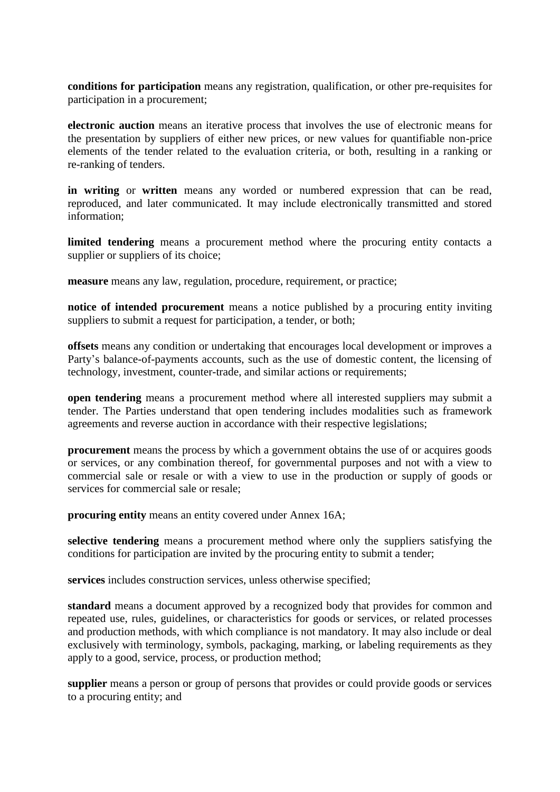**conditions for participation** means any registration, qualification, or other pre-requisites for participation in a procurement;

**electronic auction** means an iterative process that involves the use of electronic means for the presentation by suppliers of either new prices, or new values for quantifiable non-price elements of the tender related to the evaluation criteria, or both, resulting in a ranking or re-ranking of tenders.

**in writing** or **written** means any worded or numbered expression that can be read, reproduced, and later communicated. It may include electronically transmitted and stored information;

**limited tendering** means a procurement method where the procuring entity contacts a supplier or suppliers of its choice;

**measure** means any law, regulation, procedure, requirement, or practice;

**notice of intended procurement** means a notice published by a procuring entity inviting suppliers to submit a request for participation, a tender, or both;

**offsets** means any condition or undertaking that encourages local development or improves a Party's balance-of-payments accounts, such as the use of domestic content, the licensing of technology, investment, counter-trade, and similar actions or requirements;

**open tendering** means a procurement method where all interested suppliers may submit a tender. The Parties understand that open tendering includes modalities such as framework agreements and reverse auction in accordance with their respective legislations;

**procurement** means the process by which a government obtains the use of or acquires goods or services, or any combination thereof, for governmental purposes and not with a view to commercial sale or resale or with a view to use in the production or supply of goods or services for commercial sale or resale;

**procuring entity** means an entity covered under Annex 16A;

**selective tendering** means a procurement method where only the suppliers satisfying the conditions for participation are invited by the procuring entity to submit a tender;

**services** includes construction services, unless otherwise specified;

**standard** means a document approved by a recognized body that provides for common and repeated use, rules, guidelines, or characteristics for goods or services, or related processes and production methods, with which compliance is not mandatory. It may also include or deal exclusively with terminology, symbols, packaging, marking, or labeling requirements as they apply to a good, service, process, or production method;

**supplier** means a person or group of persons that provides or could provide goods or services to a procuring entity; and